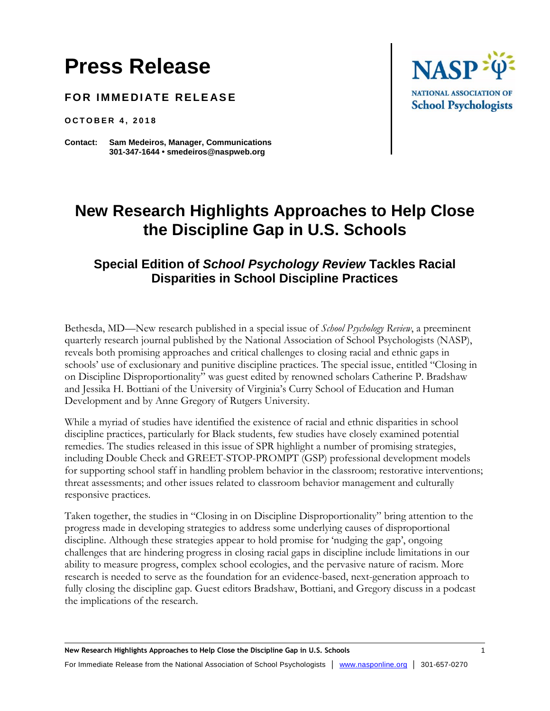# **Press Release**

**FOR IMMEDIATE RELEASE** 

**O C T O B E R 4 , 2 0 1 8**

**Contact: Sam Medeiros, Manager, Communications 301-347-1644 • smedeiros@naspweb.org**



## **New Research Highlights Approaches to Help Close the Discipline Gap in U.S. Schools**

### **Special Edition of** *School Psychology Review* **Tackles Racial Disparities in School Discipline Practices**

Bethesda, MD—New research published in a special issue of *School Psychology Review*, a preeminent quarterly research journal published by the National Association of School Psychologists (NASP), reveals both promising approaches and critical challenges to closing racial and ethnic gaps in schools' use of exclusionary and punitive discipline practices. The special issue, entitled "Closing in on Discipline Disproportionality" was guest edited by renowned scholars Catherine P. Bradshaw and Jessika H. Bottiani of the University of Virginia's Curry School of Education and Human Development and by Anne Gregory of Rutgers University.

While a myriad of studies have identified the existence of racial and ethnic disparities in school discipline practices, particularly for Black students, few studies have closely examined potential remedies. The studies released in this issue of SPR highlight a number of promising strategies, including Double Check and GREET-STOP-PROMPT (GSP) professional development models for supporting school staff in handling problem behavior in the classroom; restorative interventions; threat assessments; and other issues related to classroom behavior management and culturally responsive practices.

Taken together, the studies in "Closing in on Discipline Disproportionality" bring attention to the progress made in developing strategies to address some underlying causes of disproportional discipline. Although these strategies appear to hold promise for 'nudging the gap', ongoing challenges that are hindering progress in closing racial gaps in discipline include limitations in our ability to measure progress, complex school ecologies, and the pervasive nature of racism. More research is needed to serve as the foundation for an evidence-based, next-generation approach to fully closing the discipline gap. Guest editors Bradshaw, Bottiani, and Gregory discuss in a podcast the implications of the research.